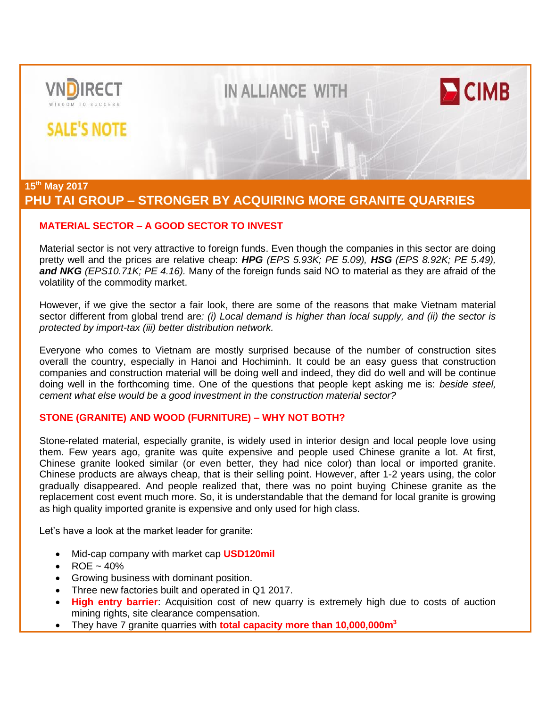

# **PHU TAI GROUP – STRONGER BY ACQUIRING MORE GRANITE QUARRIES**

# **MATERIAL SECTOR – A GOOD SECTOR TO INVEST**

Material sector is not very attractive to foreign funds. Even though the companies in this sector are doing pretty well and the prices are relative cheap: *HPG (EPS 5.93K; PE 5.09), HSG (EPS 8.92K; PE 5.49), and NKG (EPS10.71K; PE 4.16).* Many of the foreign funds said NO to material as they are afraid of the volatility of the commodity market.

However, if we give the sector a fair look, there are some of the reasons that make Vietnam material sector different from global trend are*: (i) Local demand is higher than local supply, and (ii) the sector is protected by import-tax (iii) better distribution network.*

Everyone who comes to Vietnam are mostly surprised because of the number of construction sites overall the country, especially in Hanoi and Hochiminh. It could be an easy guess that construction companies and construction material will be doing well and indeed, they did do well and will be continue doing well in the forthcoming time. One of the questions that people kept asking me is: *beside steel, cement what else would be a good investment in the construction material sector?*

## **STONE (GRANITE) AND WOOD (FURNITURE) – WHY NOT BOTH?**

Stone-related material, especially granite, is widely used in interior design and local people love using them. Few years ago, granite was quite expensive and people used Chinese granite a lot. At first, Chinese granite looked similar (or even better, they had nice color) than local or imported granite. Chinese products are always cheap, that is their selling point. However, after 1-2 years using, the color gradually disappeared. And people realized that, there was no point buying Chinese granite as the replacement cost event much more. So, it is understandable that the demand for local granite is growing as high quality imported granite is expensive and only used for high class.

Let's have a look at the market leader for granite:

- Mid-cap company with market cap **USD120mil**
- $ROE \sim 40\%$
- Growing business with dominant position.
- Three new factories built and operated in Q1 2017.
- **High entry barrier**: Acquisition cost of new quarry is extremely high due to costs of auction mining rights, site clearance compensation.
- They have 7 granite quarries with **total capacity more than 10,000,000m<sup>3</sup>**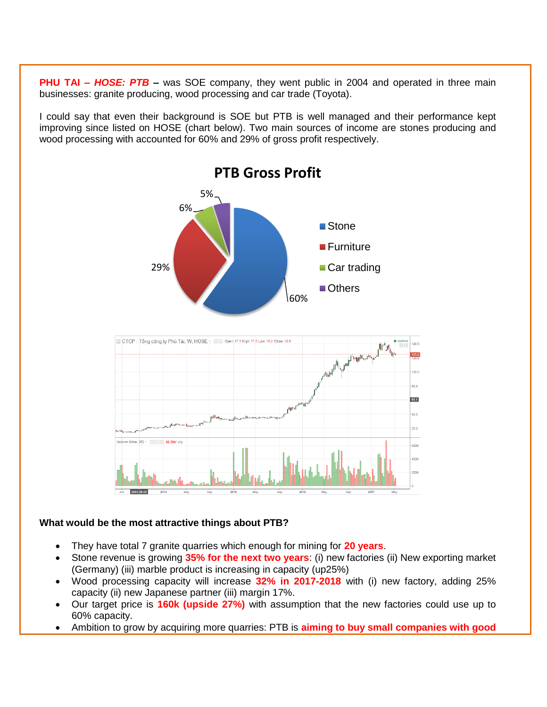**PHU TAI – HOSE: PTB** – was SOE company, they went public in 2004 and operated in three main businesses: granite producing, wood processing and car trade (Toyota).

I could say that even their background is SOE but PTB is well managed and their performance kept improving since listed on HOSE (chart below). Two main sources of income are stones producing and wood processing with accounted for 60% and 29% of gross profit respectively.



### **What would be the most attractive things about PTB?**

- They have total 7 granite quarries which enough for mining for **20 years**.
- Stone revenue is growing **35% for the next two years**: (i) new factories (ii) New exporting market (Germany) (iii) marble product is increasing in capacity (up25%)
- Wood processing capacity will increase **32% in 2017-2018** with (i) new factory, adding 25% capacity (ii) new Japanese partner (iii) margin 17%.
- Our target price is **160k (upside 27%)** with assumption that the new factories could use up to 60% capacity.
- Ambition to grow by acquiring more quarries: PTB is **aiming to buy small companies with good**